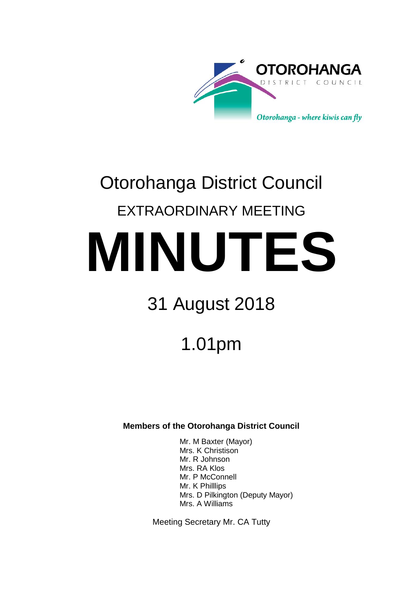

# Otorohanga District Council EXTRAORDINARY MEETING **MINUTES**

# 31 August 2018

# 1.01pm

### **Members of the Otorohanga District Council**

Mr. M Baxter (Mayor) Mrs. K Christison Mr. R Johnson Mrs. RA Klos Mr. P McConnell Mr. K Philllips Mrs. D Pilkington (Deputy Mayor) Mrs. A Williams

Meeting Secretary Mr. CA Tutty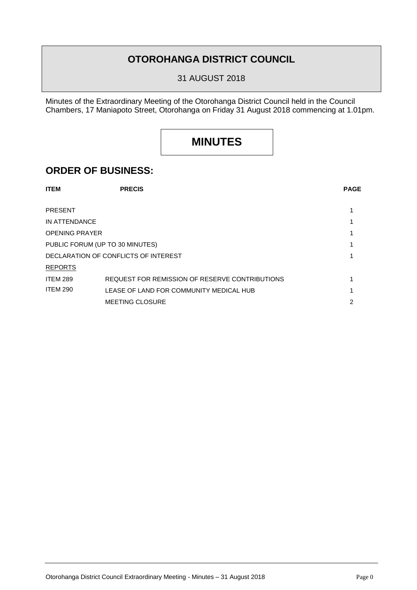## **OTOROHANGA DISTRICT COUNCIL**

31 AUGUST 2018

Minutes of the Extraordinary Meeting of the Otorohanga District Council held in the Council Chambers, 17 Maniapoto Street, Otorohanga on Friday 31 August 2018 commencing at 1.01pm.

# **MINUTES**

### **ORDER OF BUSINESS:**

| <b>ITEM</b>                          | <b>PRECIS</b>                                  | <b>PAGE</b> |
|--------------------------------------|------------------------------------------------|-------------|
|                                      |                                                |             |
| <b>PRESENT</b>                       |                                                |             |
| IN ATTENDANCE                        |                                                |             |
| <b>OPENING PRAYER</b>                |                                                |             |
| PUBLIC FORUM (UP TO 30 MINUTES)      |                                                |             |
| DECLARATION OF CONFLICTS OF INTEREST |                                                |             |
| <b>REPORTS</b>                       |                                                |             |
| <b>ITEM 289</b>                      | REQUEST FOR REMISSION OF RESERVE CONTRIBUTIONS |             |
| <b>ITEM 290</b>                      | LEASE OF LAND FOR COMMUNITY MEDICAL HUB        |             |
|                                      | <b>MEETING CLOSURE</b>                         | 2           |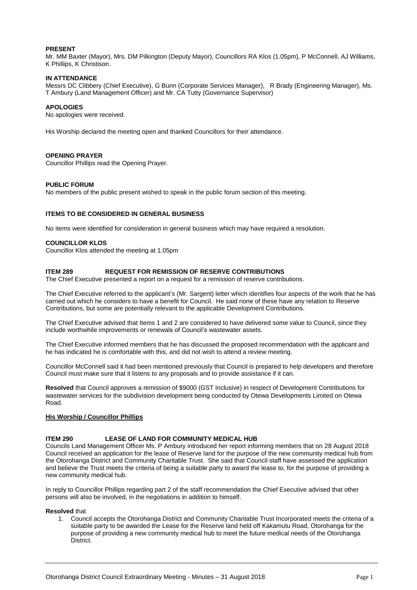#### **PRESENT**

Mr. MM Baxter (Mayor), Mrs. DM Pilkington (Deputy Mayor), Councillors RA Klos (1.05pm), P McConnell, AJ Williams, K Phillips, K Christison.

#### **IN ATTENDANCE**

Messrs DC Clibbery (Chief Executive), G Bunn (Corporate Services Manager), R Brady (Engineering Manager), Ms. T Ambury (Land Management Officer) and Mr. CA Tutty (Governance Supervisor)

#### **APOLOGIES**

No apologies were received.

His Worship declared the meeting open and thanked Councillors for their attendance.

#### **OPENING PRAYER**

Councillor Phillips read the Opening Prayer.

#### **PUBLIC FORUM**

No members of the public present wished to speak in the public forum section of this meeting.

#### **ITEMS TO BE CONSIDERED IN GENERAL BUSINESS**

No items were identified for consideration in general business which may have required a resolution.

#### **COUNCILLOR KLOS**

Councillor Klos attended the meeting at 1.05pm

#### **ITEM 289 REQUEST FOR REMISSION OF RESERVE CONTRIBUTIONS**

The Chief Executive presented a report on a request for a remission of reserve contributions.

The Chief Executive referred to the applicant's (Mr. Sargent) letter which identifies four aspects of the work that he has carried out which he considers to have a benefit for Council. He said none of these have any relation to Reserve Contributions, but some are potentially relevant to the applicable Development Contributions.

The Chief Executive advised that Items 1 and 2 are considered to have delivered some value to Council, since they include worthwhile improvements or renewals of Council's wastewater assets.

The Chief Executive informed members that he has discussed the proposed recommendation with the applicant and he has indicated he is comfortable with this, and did not wish to attend a review meeting.

Councillor McConnell said it had been mentioned previously that Council is prepared to help developers and therefore Council must make sure that it listens to any proposals and to provide assistance if it can.

**Resolved** that Council approves a remission of \$9000 (GST Inclusive) in respect of Development Contributions for wastewater services for the subdivision development being conducted by Otewa Developments Limited on Otewa Road.

#### **His Worship / Councillor Phillips**

#### **ITEM 290 LEASE OF LAND FOR COMMUNITY MEDICAL HUB**

Councils Land Management Officer Ms. P Ambury introduced her report informing members that on 28 August 2018 Council received an application for the lease of Reserve land for the purpose of the new community medical hub from the Otorohanga District and Community Charitable Trust. She said that Council staff have assessed the application and believe the Trust meets the criteria of being a suitable party to award the lease to, for the purpose of providing a new community medical hub.

In reply to Councillor Phillips regarding part 2 of the staff recommendation the Chief Executive advised that other persons will also be involved, in the negotiations in addition to himself.

#### **Resolved** that

1. Council accepts the Otorohanga District and Community Charitable Trust Incorporated meets the criteria of a suitable party to be awarded the Lease for the Reserve land held off Kakamutu Road, Otorohanga for the purpose of providing a new community medical hub to meet the future medical needs of the Otorohanga District.